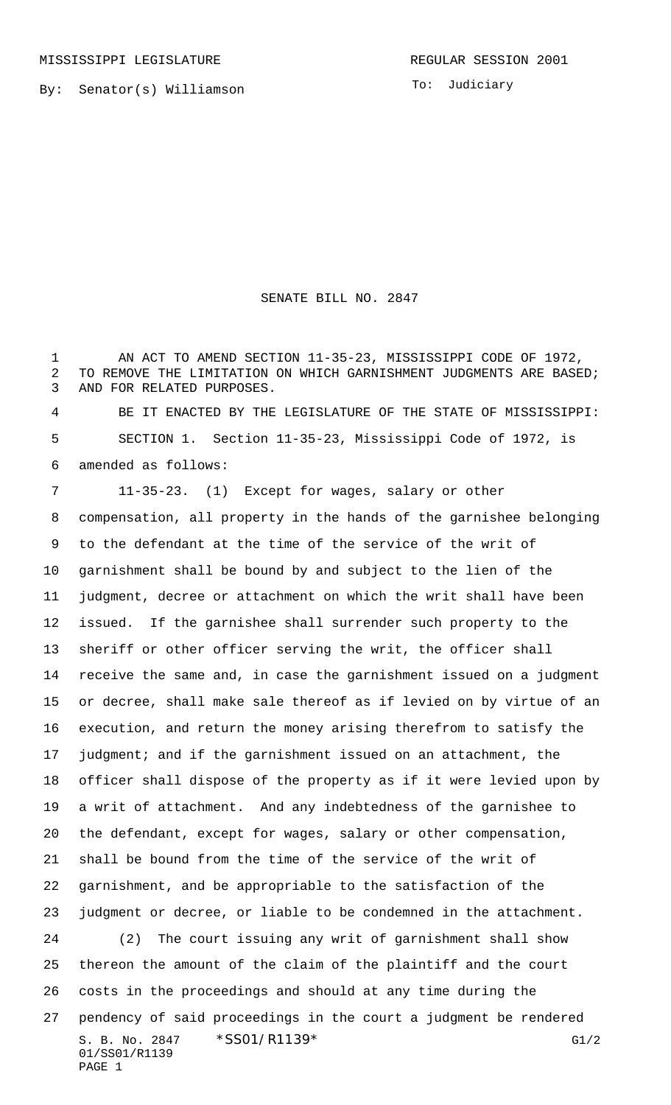To: Judiciary

## SENATE BILL NO. 2847

 AN ACT TO AMEND SECTION 11-35-23, MISSISSIPPI CODE OF 1972, TO REMOVE THE LIMITATION ON WHICH GARNISHMENT JUDGMENTS ARE BASED; AND FOR RELATED PURPOSES.

 BE IT ENACTED BY THE LEGISLATURE OF THE STATE OF MISSISSIPPI: SECTION 1. Section 11-35-23, Mississippi Code of 1972, is amended as follows:

S. B. No. 2847 \* SS01/R1139\* G1/2 01/SS01/R1139 PAGE 1 11-35-23. (1) Except for wages, salary or other compensation, all property in the hands of the garnishee belonging to the defendant at the time of the service of the writ of garnishment shall be bound by and subject to the lien of the judgment, decree or attachment on which the writ shall have been issued. If the garnishee shall surrender such property to the sheriff or other officer serving the writ, the officer shall receive the same and, in case the garnishment issued on a judgment or decree, shall make sale thereof as if levied on by virtue of an execution, and return the money arising therefrom to satisfy the 17 judgment; and if the garnishment issued on an attachment, the officer shall dispose of the property as if it were levied upon by a writ of attachment. And any indebtedness of the garnishee to the defendant, except for wages, salary or other compensation, shall be bound from the time of the service of the writ of garnishment, and be appropriable to the satisfaction of the judgment or decree, or liable to be condemned in the attachment. (2) The court issuing any writ of garnishment shall show thereon the amount of the claim of the plaintiff and the court costs in the proceedings and should at any time during the pendency of said proceedings in the court a judgment be rendered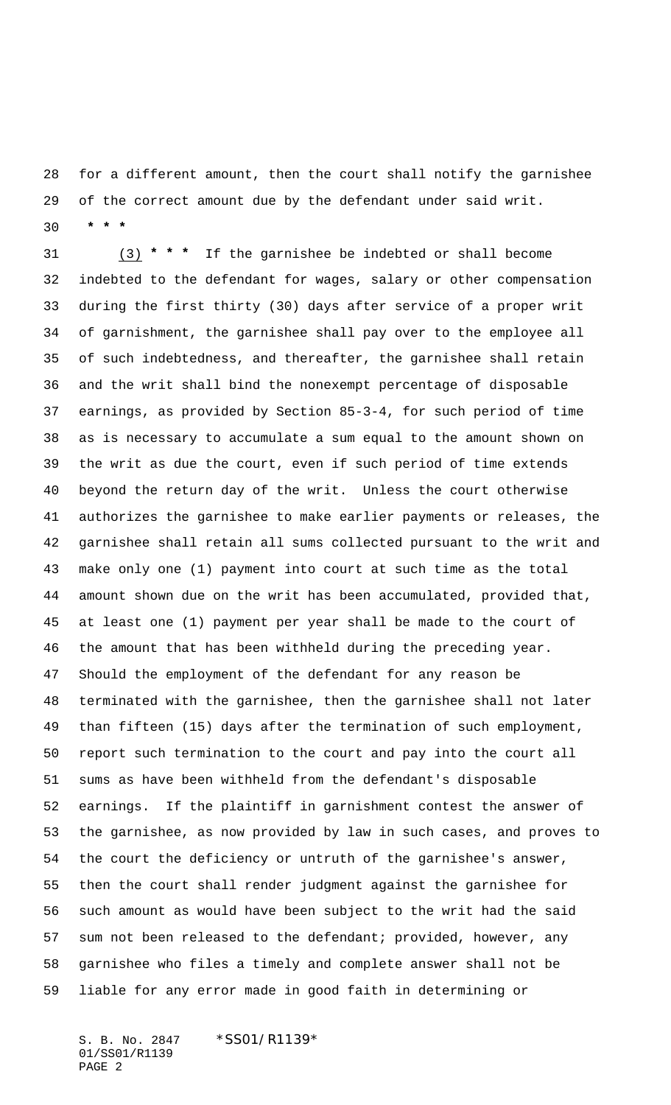for a different amount, then the court shall notify the garnishee of the correct amount due by the defendant under said writ.  **\* \* \***

 (3) **\* \* \*** If the garnishee be indebted or shall become indebted to the defendant for wages, salary or other compensation during the first thirty (30) days after service of a proper writ of garnishment, the garnishee shall pay over to the employee all of such indebtedness, and thereafter, the garnishee shall retain and the writ shall bind the nonexempt percentage of disposable earnings, as provided by Section 85-3-4, for such period of time as is necessary to accumulate a sum equal to the amount shown on the writ as due the court, even if such period of time extends beyond the return day of the writ. Unless the court otherwise authorizes the garnishee to make earlier payments or releases, the garnishee shall retain all sums collected pursuant to the writ and make only one (1) payment into court at such time as the total amount shown due on the writ has been accumulated, provided that, at least one (1) payment per year shall be made to the court of the amount that has been withheld during the preceding year. Should the employment of the defendant for any reason be terminated with the garnishee, then the garnishee shall not later than fifteen (15) days after the termination of such employment, report such termination to the court and pay into the court all sums as have been withheld from the defendant's disposable earnings. If the plaintiff in garnishment contest the answer of the garnishee, as now provided by law in such cases, and proves to the court the deficiency or untruth of the garnishee's answer, then the court shall render judgment against the garnishee for such amount as would have been subject to the writ had the said sum not been released to the defendant; provided, however, any garnishee who files a timely and complete answer shall not be liable for any error made in good faith in determining or

S. B. No. 2847 \* SS01/R1139\* 01/SS01/R1139 PAGE 2